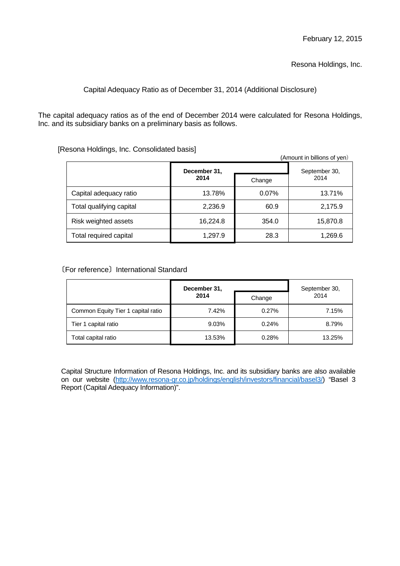Resona Holdings, Inc.

# Capital Adequacy Ratio as of December 31, 2014 (Additional Disclosure)

The capital adequacy ratios as of the end of December 2014 were calculated for Resona Holdings, Inc. and its subsidiary banks on a preliminary basis as follows.

[Resona Holdings, Inc. Consolidated basis]

|                          |              |        | (Amount in billions of yen) |
|--------------------------|--------------|--------|-----------------------------|
|                          | December 31, |        | September 30,<br>2014       |
|                          | 2014         | Change |                             |
| Capital adequacy ratio   | 13.78%       | 0.07%  | 13.71%                      |
| Total qualifying capital | 2,236.9      | 60.9   | 2,175.9                     |
| Risk weighted assets     | 16,224.8     | 354.0  | 15,870.8                    |
| Total required capital   | 1,297.9      | 28.3   | 1,269.6                     |

# 〔For reference〕International Standard

|                                    | December 31, |        | September 30,<br>2014 |
|------------------------------------|--------------|--------|-----------------------|
|                                    | 2014         | Change |                       |
| Common Equity Tier 1 capital ratio | 7.42%        | 0.27%  | 7.15%                 |
| Tier 1 capital ratio               | 9.03%        | 0.24%  | 8.79%                 |
| Total capital ratio                | 13.53%       | 0.28%  | 13.25%                |

Capital Structure Information of Resona Holdings, Inc. and its subsidiary banks are also available on our website (http://www.resona-gr.co.jp/holdings/english/investors/financial/basel3/) "Basel 3 Report (Capital Adequacy Information)".